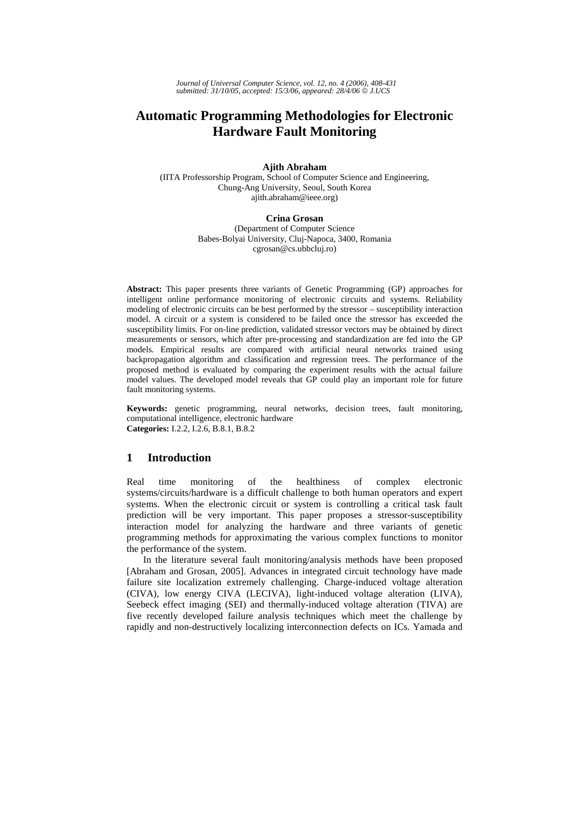# **Automatic Programming Methodologies for Electronic Hardware Fault Monitoring**

# **Ajith Abraham**

(IITA Professorship Program, School of Computer Science and Engineering, Chung-Ang University, Seoul, South Korea ajith.abraham@ieee.org)

### **Crina Grosan**

(Department of Computer Science Babes-Bolyai University, Cluj-Napoca, 3400, Romania cgrosan@cs.ubbcluj.ro)

**Abstract:** This paper presents three variants of Genetic Programming (GP) approaches for intelligent online performance monitoring of electronic circuits and systems. Reliability modeling of electronic circuits can be best performed by the stressor – susceptibility interaction model. A circuit or a system is considered to be failed once the stressor has exceeded the susceptibility limits. For on-line prediction, validated stressor vectors may be obtained by direct measurements or sensors, which after pre-processing and standardization are fed into the GP models. Empirical results are compared with artificial neural networks trained using backpropagation algorithm and classification and regression trees. The performance of the proposed method is evaluated by comparing the experiment results with the actual failure model values. The developed model reveals that GP could play an important role for future fault monitoring systems.

**Keywords:** genetic programming, neural networks, decision trees, fault monitoring, computational intelligence, electronic hardware **Categories:** I.2.2, I.2.6, B.8.1, B.8.2

# **1 Introduction**

Real time monitoring of the healthiness of complex electronic systems/circuits/hardware is a difficult challenge to both human operators and expert systems. When the electronic circuit or system is controlling a critical task fault prediction will be very important. This paper proposes a stressor-susceptibility interaction model for analyzing the hardware and three variants of genetic programming methods for approximating the various complex functions to monitor the performance of the system.

In the literature several fault monitoring/analysis methods have been proposed [Abraham and Grosan, 2005]. Advances in integrated circuit technology have made failure site localization extremely challenging. Charge-induced voltage alteration (CIVA), low energy CIVA (LECIVA), light-induced voltage alteration (LIVA), Seebeck effect imaging (SEI) and thermally-induced voltage alteration (TIVA) are five recently developed failure analysis techniques which meet the challenge by rapidly and non-destructively localizing interconnection defects on ICs. Yamada and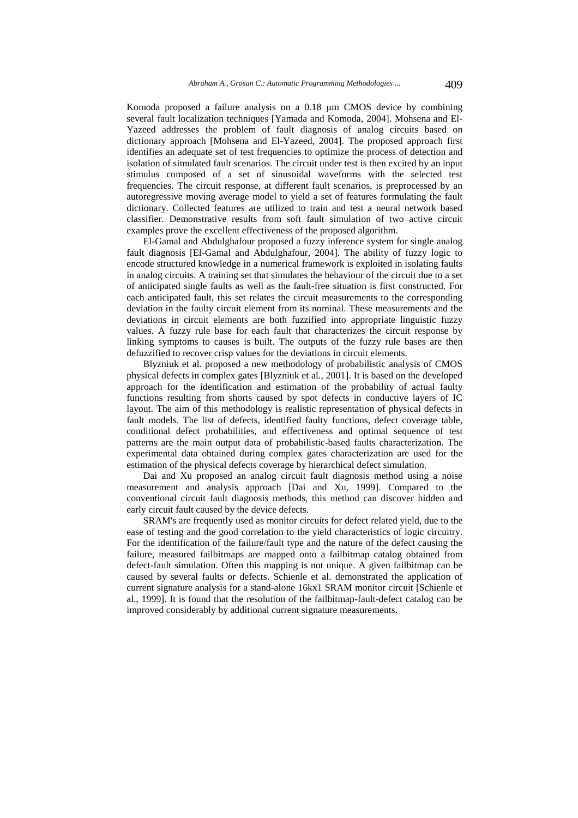Komoda proposed a failure analysis on a 0.18 μm CMOS device by combining several fault localization techniques [Yamada and Komoda, 2004]. Mohsena and El-Yazeed addresses the problem of fault diagnosis of analog circuits based on dictionary approach [Mohsena and El-Yazeed, 2004]. The proposed approach first identifies an adequate set of test frequencies to optimize the process of detection and isolation of simulated fault scenarios. The circuit under test is then excited by an input stimulus composed of a set of sinusoidal waveforms with the selected test frequencies. The circuit response, at different fault scenarios, is preprocessed by an autoregressive moving average model to yield a set of features formulating the fault dictionary. Collected features are utilized to train and test a neural network based classifier. Demonstrative results from soft fault simulation of two active circuit examples prove the excellent effectiveness of the proposed algorithm.

El-Gamal and Abdulghafour proposed a fuzzy inference system for single analog fault diagnosis [El-Gamal and Abdulghafour, 2004]. The ability of fuzzy logic to encode structured knowledge in a numerical framework is exploited in isolating faults in analog circuits. A training set that simulates the behaviour of the circuit due to a set of anticipated single faults as well as the fault-free situation is first constructed. For each anticipated fault, this set relates the circuit measurements to the corresponding deviation in the faulty circuit element from its nominal. These measurements and the deviations in circuit elements are both fuzzified into appropriate linguistic fuzzy values. A fuzzy rule base for each fault that characterizes the circuit response by linking symptoms to causes is built. The outputs of the fuzzy rule bases are then defuzzified to recover crisp values for the deviations in circuit elements.

Blyzniuk et al. proposed a new methodology of probabilistic analysis of CMOS physical defects in complex gates [Blyzniuk et al., 2001]. It is based on the developed approach for the identification and estimation of the probability of actual faulty functions resulting from shorts caused by spot defects in conductive layers of IC layout. The aim of this methodology is realistic representation of physical defects in fault models. The list of defects, identified faulty functions, defect coverage table, conditional defect probabilities, and effectiveness and optimal sequence of test patterns are the main output data of probabilistic-based faults characterization. The experimental data obtained during complex gates characterization are used for the estimation of the physical defects coverage by hierarchical defect simulation.

Dai and Xu proposed an analog circuit fault diagnosis method using a noise measurement and analysis approach [Dai and Xu, 1999]. Compared to the conventional circuit fault diagnosis methods, this method can discover hidden and early circuit fault caused by the device defects.

SRAM's are frequently used as monitor circuits for defect related yield, due to the ease of testing and the good correlation to the yield characteristics of logic circuitry. For the identification of the failure/fault type and the nature of the defect causing the failure, measured failbitmaps are mapped onto a failbitmap catalog obtained from defect-fault simulation. Often this mapping is not unique. A given failbitmap can be caused by several faults or defects. Schienle et al. demonstrated the application of current signature analysis for a stand-alone 16kx1 SRAM monitor circuit [Schienle et al., 1999]. It is found that the resolution of the failbitmap-fault-defect catalog can be improved considerably by additional current signature measurements.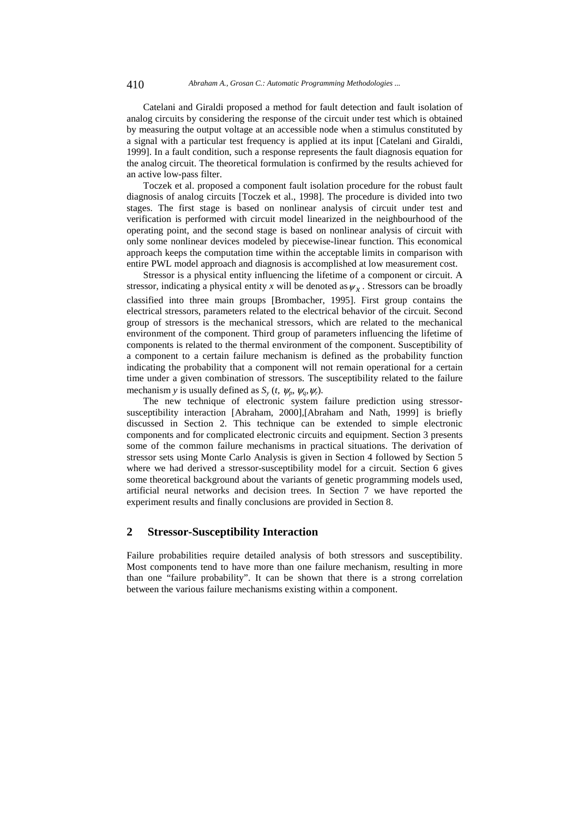Catelani and Giraldi proposed a method for fault detection and fault isolation of analog circuits by considering the response of the circuit under test which is obtained by measuring the output voltage at an accessible node when a stimulus constituted by a signal with a particular test frequency is applied at its input [Catelani and Giraldi, 1999]. In a fault condition, such a response represents the fault diagnosis equation for the analog circuit. The theoretical formulation is confirmed by the results achieved for an active low-pass filter.

Toczek et al. proposed a component fault isolation procedure for the robust fault diagnosis of analog circuits [Toczek et al., 1998]. The procedure is divided into two stages. The first stage is based on nonlinear analysis of circuit under test and verification is performed with circuit model linearized in the neighbourhood of the operating point, and the second stage is based on nonlinear analysis of circuit with only some nonlinear devices modeled by piecewise-linear function. This economical approach keeps the computation time within the acceptable limits in comparison with entire PWL model approach and diagnosis is accomplished at low measurement cost.

Stressor is a physical entity influencing the lifetime of a component or circuit. A stressor, indicating a physical entity *x* will be denoted as  $\psi_x$ . Stressors can be broadly classified into three main groups [Brombacher, 1995]. First group contains the electrical stressors, parameters related to the electrical behavior of the circuit. Second group of stressors is the mechanical stressors, which are related to the mechanical environment of the component. Third group of parameters influencing the lifetime of components is related to the thermal environment of the component. Susceptibility of a component to a certain failure mechanism is defined as the probability function indicating the probability that a component will not remain operational for a certain time under a given combination of stressors. The susceptibility related to the failure mechanism *y* is usually defined as  $S_y$  (*t,*  $\psi_p$ *,*  $\psi_q$ *,*  $\psi_r$ *).* 

The new technique of electronic system failure prediction using stressorsusceptibility interaction [Abraham, 2000],[Abraham and Nath, 1999] is briefly discussed in Section 2. This technique can be extended to simple electronic components and for complicated electronic circuits and equipment. Section 3 presents some of the common failure mechanisms in practical situations. The derivation of stressor sets using Monte Carlo Analysis is given in Section 4 followed by Section 5 where we had derived a stressor-susceptibility model for a circuit. Section 6 gives some theoretical background about the variants of genetic programming models used, artificial neural networks and decision trees. In Section 7 we have reported the experiment results and finally conclusions are provided in Section 8.

# **2 Stressor-Susceptibility Interaction**

Failure probabilities require detailed analysis of both stressors and susceptibility. Most components tend to have more than one failure mechanism, resulting in more than one "failure probability". It can be shown that there is a strong correlation between the various failure mechanisms existing within a component.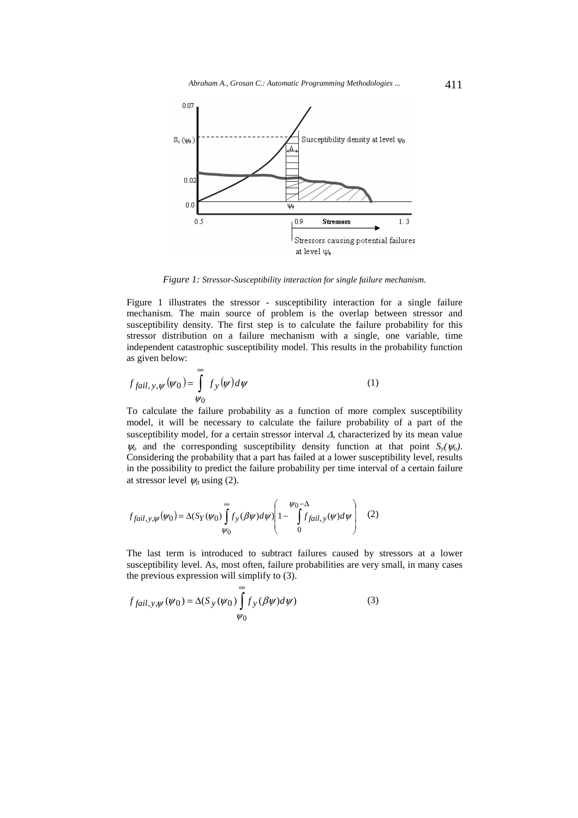

*Figure 1: Stressor-Susceptibility interaction for single failure mechanism.* 

Figure 1 illustrates the stressor - susceptibility interaction for a single failure mechanism. The main source of problem is the overlap between stressor and susceptibility density. The first step is to calculate the failure probability for this stressor distribution on a failure mechanism with a single, one variable, time independent catastrophic susceptibility model. This results in the probability function as given below:

$$
f_{fail, y, \psi}(\psi_0) = \int_{\psi_0}^{\infty} f_y(\psi) d\psi
$$
 (1)

To calculate the failure probability as a function of more complex susceptibility model, it will be necessary to calculate the failure probability of a part of the susceptibility model, for a certain stressor interval Δ, characterized by its mean value  $\psi$ <sub>o</sub> and the corresponding susceptibility density function at that point  $S_y(\psi_0)$ . Considering the probability that a part has failed at a lower susceptibility level, results in the possibility to predict the failure probability per time interval of a certain failure at stressor level  $\psi_0$  using (2).

$$
f_{fail,y,\psi}(\psi_0) = \Delta(S_Y(\psi_0)) \int_{\psi_0}^{\infty} f_y(\beta \psi) d\psi \left( 1 - \int_{0}^{\psi_0 - \Delta} f_{fail,y}(\psi) d\psi \right) \tag{2}
$$

The last term is introduced to subtract failures caused by stressors at a lower susceptibility level. As, most often, failure probabilities are very small, in many cases the previous expression will simplify to (3).

$$
f_{fail,y,\psi}(\psi_0) = \Delta(S_y(\psi_0)) \int_{\psi_0}^{\infty} f_y(\beta \psi) d\psi)
$$
 (3)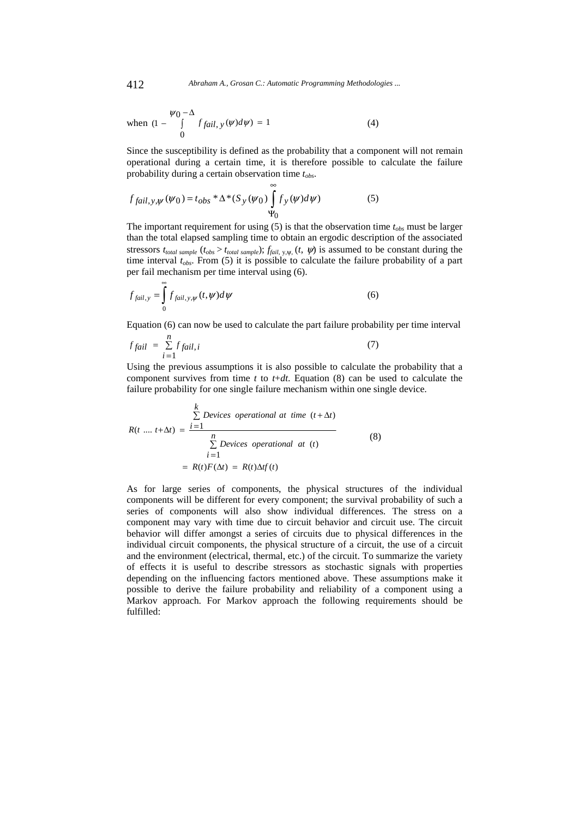when 
$$
(1 - \int_{0}^{\psi_0 - \Delta} f_{fail, y}(\psi) d\psi) = 1
$$
 (4)

Since the susceptibility is defined as the probability that a component will not remain operational during a certain time, it is therefore possible to calculate the failure probability during a certain observation time *tobs*.

$$
f_{fail,y,\psi}(\psi_0) = t_{obs} * \Delta^*(S_y(\psi_0)) \int_{\Psi_0}^{\infty} f_y(\psi) d\psi)
$$
 (5)

The important requirement for using  $(5)$  is that the observation time  $t_{obs}$  must be larger than the total elapsed sampling time to obtain an ergodic description of the associated stressors  $t_{total\ sample}$  ( $t_{obs} > t_{total\ sample}$ );  $f_{fail, y, \psi}$ , ( $t, \psi$ ) is assumed to be constant during the time interval  $t_{obs}$ . From (5) it is possible to calculate the failure probability of a part per fail mechanism per time interval using (6).

$$
f_{fail,y} = \int_{0}^{t} f_{fail,y,\psi}(t,\psi) d\psi
$$
 (6)

Equation (6) can now be used to calculate the part failure probability per time interval

$$
f_{fail} = \sum_{i=1}^{n} f_{fail,i} \tag{7}
$$

Using the previous assumptions it is also possible to calculate the probability that a component survives from time *t* to *t*+*dt*. Equation (8) can be used to calculate the failure probability for one single failure mechanism within one single device.

$$
R(t \dots t + \Delta t) = \frac{\sum_{i=1}^{k} Devices \text{ operational at time } (t + \Delta t)}{\sum_{i=1}^{n} Devices \text{ operational at } (t)}
$$
\n
$$
= R(t)F(\Delta t) = R(t)\Delta t f(t)
$$
\n(8)

As for large series of components, the physical structures of the individual components will be different for every component; the survival probability of such a series of components will also show individual differences. The stress on a component may vary with time due to circuit behavior and circuit use. The circuit behavior will differ amongst a series of circuits due to physical differences in the individual circuit components, the physical structure of a circuit, the use of a circuit and the environment (electrical, thermal, etc.) of the circuit. To summarize the variety of effects it is useful to describe stressors as stochastic signals with properties depending on the influencing factors mentioned above. These assumptions make it possible to derive the failure probability and reliability of a component using a Markov approach. For Markov approach the following requirements should be fulfilled:

∞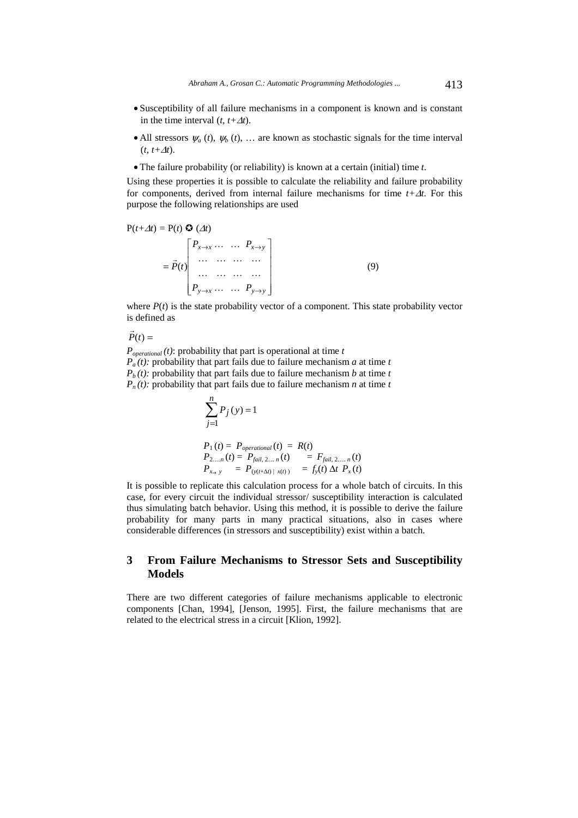- Susceptibility of all failure mechanisms in a component is known and is constant in the time interval  $(t, t+\Delta t)$ .
- All stressors  $\psi_a(t)$ ,  $\psi_b(t)$ , ... are known as stochastic signals for the time interval  $(t, t+\Delta t)$ .
- The failure probability (or reliability) is known at a certain (initial) time *t*.

Using these properties it is possible to calculate the reliability and failure probability for components, derived from internal failure mechanisms for time *t+*Δ*t*. For this purpose the following relationships are used

$$
P(t+\Delta t) = P(t) \bullet \Delta t
$$
  
=  $\vec{P}(t)$ \n
$$
\begin{bmatrix}\nP_{x\to x} \dots \dots \dots \dots \dots \dots \\
\dots \dots \dots \dots \dots \\
\dots \dots \dots \dots \dots \\
P_{y\to x} \dots \dots \dots P_{y\to y}\n\end{bmatrix}
$$
\n(9)

where  $P(t)$  is the state probability vector of a component. This state probability vector is defined as

 $\vec{P}(t) =$ 

 $P_{\text{one rational}}(t)$ : probability that part is operational at time *t*  $P_a(t)$ : probability that part fails due to failure mechanism *a* at time *t*  $P<sub>b</sub>(t)$ : probability that part fails due to failure mechanism *b* at time *t*  $P_n(t)$ : probability that part fails due to failure mechanism *n* at time *t* 

$$
\sum_{j=1}^{n} P_j(y) = 1
$$
  
\n
$$
P_1(t) = P_{\text{operational}}(t) = R(t)
$$
  
\n
$$
P_{2...n}(t) = P_{\text{fail, 2...n}}(t) = F_{\text{fail, 2...n}}(t)
$$
  
\n
$$
P_{x+y} = P_{(y(t+\Delta t) | x(t))} = f_y(t) \Delta t \ P_x(t)
$$

It is possible to replicate this calculation process for a whole batch of circuits. In this case, for every circuit the individual stressor/ susceptibility interaction is calculated thus simulating batch behavior. Using this method, it is possible to derive the failure probability for many parts in many practical situations, also in cases where considerable differences (in stressors and susceptibility) exist within a batch.

# **3 From Failure Mechanisms to Stressor Sets and Susceptibility Models**

There are two different categories of failure mechanisms applicable to electronic components [Chan, 1994], [Jenson, 1995]. First, the failure mechanisms that are related to the electrical stress in a circuit [Klion, 1992].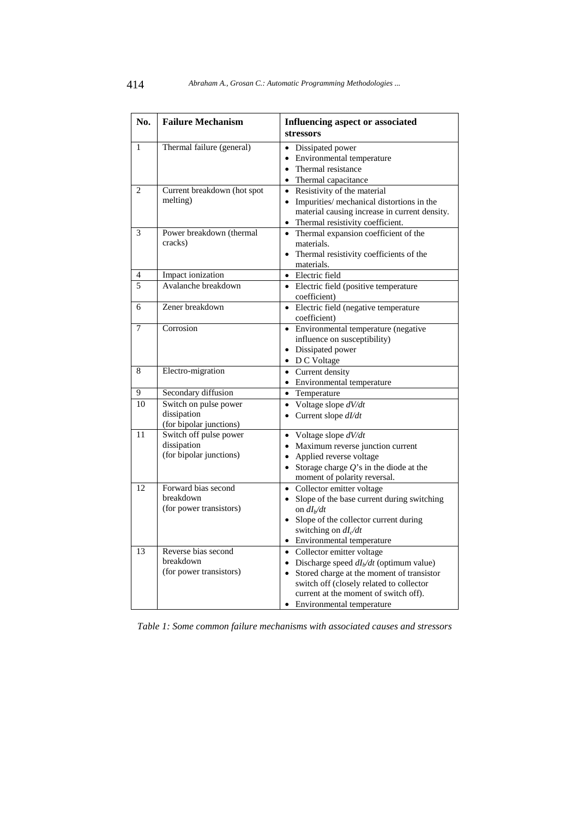| No.            | <b>Failure Mechanism</b>                                         | Influencing aspect or associated<br><b>stressors</b>                                                                                                                                                                                                       |  |  |
|----------------|------------------------------------------------------------------|------------------------------------------------------------------------------------------------------------------------------------------------------------------------------------------------------------------------------------------------------------|--|--|
| 1              | Thermal failure (general)                                        | Dissipated power<br>$\bullet$<br>Environmental temperature<br>$\bullet$<br>• Thermal resistance<br>• Thermal capacitance                                                                                                                                   |  |  |
| $\overline{c}$ | Current breakdown (hot spot<br>melting)                          | • Resistivity of the material<br>Impurities/ mechanical distortions in the<br>$\bullet$<br>material causing increase in current density.<br>Thermal resistivity coefficient.<br>$\bullet$                                                                  |  |  |
| 3              | Power breakdown (thermal<br>cracks)                              | Thermal expansion coefficient of the<br>$\bullet$<br>materials.<br>Thermal resistivity coefficients of the<br>$\bullet$<br>materials.                                                                                                                      |  |  |
| 4              | Impact ionization                                                | Electric field<br>$\bullet$                                                                                                                                                                                                                                |  |  |
| 5              | Avalanche breakdown                                              | Electric field (positive temperature<br>$\bullet$<br>coefficient)                                                                                                                                                                                          |  |  |
| 6              | Zener breakdown                                                  | • Electric field (negative temperature<br>coefficient)                                                                                                                                                                                                     |  |  |
| 7              | Corrosion                                                        | • Environmental temperature (negative<br>influence on susceptibility)<br>• Dissipated power<br>• D C Voltage                                                                                                                                               |  |  |
| 8              | Electro-migration                                                | • Current density<br>• Environmental temperature                                                                                                                                                                                                           |  |  |
| 9              | Secondary diffusion                                              | • Temperature                                                                                                                                                                                                                                              |  |  |
| 10             | Switch on pulse power<br>dissipation<br>(for bipolar junctions)  | $\bullet$ Voltage slope $dV/dt$<br>Current slope dI/dt<br>$\bullet$                                                                                                                                                                                        |  |  |
| 11             | Switch off pulse power<br>dissipation<br>(for bipolar junctions) | $\bullet$ Voltage slope $dV/dt$<br>• Maximum reverse junction current<br>Applied reverse voltage<br>$\bullet$<br>Storage charge $Q$ 's in the diode at the<br>$\bullet$<br>moment of polarity reversal.                                                    |  |  |
| 12             | Forward bias second<br>breakdown<br>(for power transistors)      | • Collector emitter voltage<br>Slope of the base current during switching<br>$\bullet$<br>on $dIb/dt$<br>Slope of the collector current during<br>$\bullet$<br>switching on $dI_c/dt$<br>• Environmental temperature                                       |  |  |
| 13             | Reverse bias second<br>breakdown<br>(for power transistors)      | • Collector emitter voltage<br>• Discharge speed $dI_{b}/dt$ (optimum value)<br>Stored charge at the moment of transistor<br>$\bullet$<br>switch off (closely related to collector<br>current at the moment of switch off).<br>• Environmental temperature |  |  |

*Table 1: Some common failure mechanisms with associated causes and stressors*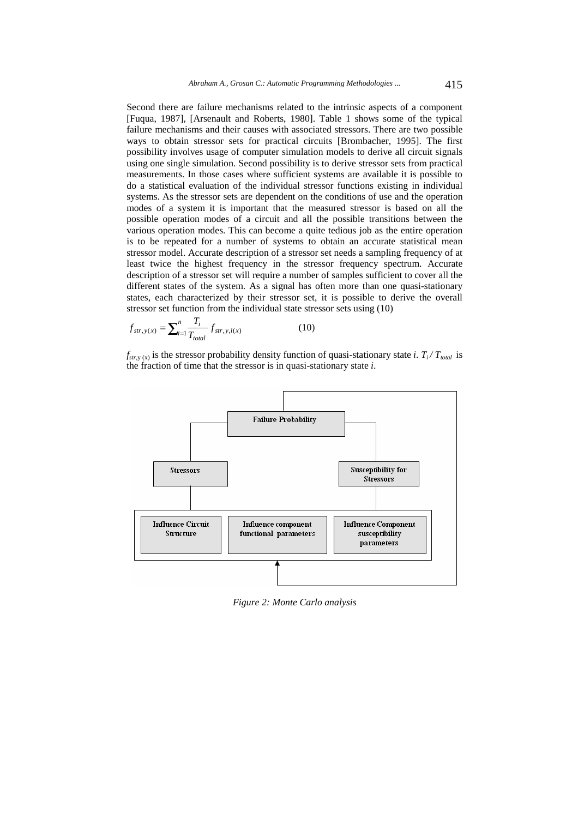Second there are failure mechanisms related to the intrinsic aspects of a component [Fuqua, 1987], [Arsenault and Roberts, 1980]. Table 1 shows some of the typical failure mechanisms and their causes with associated stressors. There are two possible ways to obtain stressor sets for practical circuits [Brombacher, 1995]. The first possibility involves usage of computer simulation models to derive all circuit signals using one single simulation. Second possibility is to derive stressor sets from practical measurements. In those cases where sufficient systems are available it is possible to do a statistical evaluation of the individual stressor functions existing in individual systems. As the stressor sets are dependent on the conditions of use and the operation modes of a system it is important that the measured stressor is based on all the possible operation modes of a circuit and all the possible transitions between the various operation modes. This can become a quite tedious job as the entire operation is to be repeated for a number of systems to obtain an accurate statistical mean stressor model. Accurate description of a stressor set needs a sampling frequency of at least twice the highest frequency in the stressor frequency spectrum. Accurate description of a stressor set will require a number of samples sufficient to cover all the different states of the system. As a signal has often more than one quasi-stationary states, each characterized by their stressor set, it is possible to derive the overall stressor set function from the individual state stressor sets using (10)

$$
f_{str,y(x)} = \sum_{i=1}^{n} \frac{T_i}{T_{total}} f_{str,y,i(x)}
$$
(10)

 $f_{str,y}$ <sub>(x)</sub> is the stressor probability density function of quasi-stationary state *i*.  $T_i/T_{total}$  is the fraction of time that the stressor is in quasi-stationary state *i*.



*Figure 2: Monte Carlo analysis*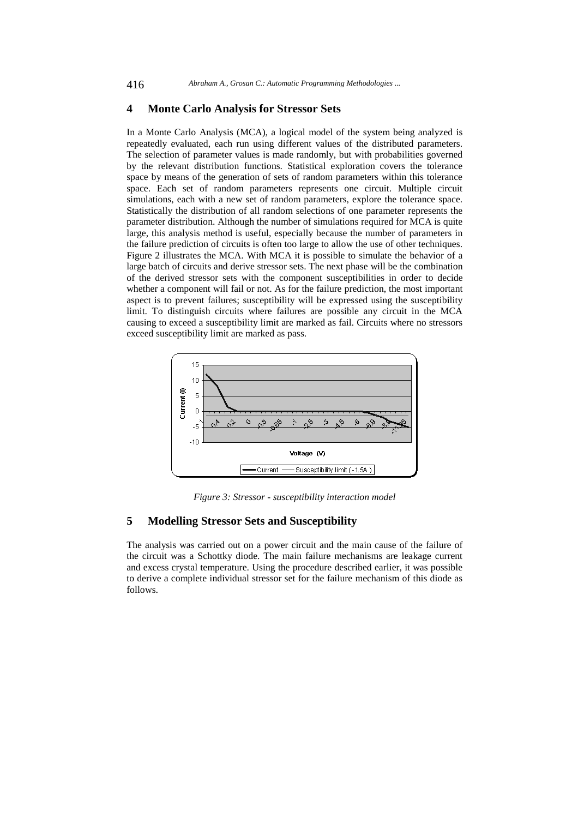# **4 Monte Carlo Analysis for Stressor Sets**

In a Monte Carlo Analysis (MCA), a logical model of the system being analyzed is repeatedly evaluated, each run using different values of the distributed parameters. The selection of parameter values is made randomly, but with probabilities governed by the relevant distribution functions. Statistical exploration covers the tolerance space by means of the generation of sets of random parameters within this tolerance space. Each set of random parameters represents one circuit. Multiple circuit simulations, each with a new set of random parameters, explore the tolerance space. Statistically the distribution of all random selections of one parameter represents the parameter distribution. Although the number of simulations required for MCA is quite large, this analysis method is useful, especially because the number of parameters in the failure prediction of circuits is often too large to allow the use of other techniques. Figure 2 illustrates the MCA. With MCA it is possible to simulate the behavior of a large batch of circuits and derive stressor sets. The next phase will be the combination of the derived stressor sets with the component susceptibilities in order to decide whether a component will fail or not. As for the failure prediction, the most important aspect is to prevent failures; susceptibility will be expressed using the susceptibility limit. To distinguish circuits where failures are possible any circuit in the MCA causing to exceed a susceptibility limit are marked as fail. Circuits where no stressors exceed susceptibility limit are marked as pass.



*Figure 3: Stressor - susceptibility interaction model* 

# **5 Modelling Stressor Sets and Susceptibility**

The analysis was carried out on a power circuit and the main cause of the failure of the circuit was a Schottky diode. The main failure mechanisms are leakage current and excess crystal temperature. Using the procedure described earlier, it was possible to derive a complete individual stressor set for the failure mechanism of this diode as follows.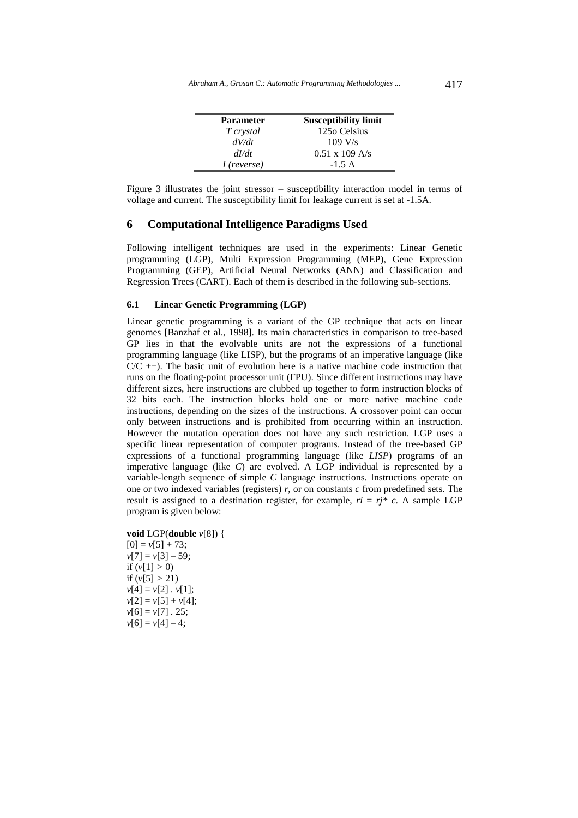| <b>Parameter</b> | <b>Susceptibility limit</b> |
|------------------|-----------------------------|
| T crystal        | 1250 Celsius                |
| dV/dt            | 109 V/s                     |
| dI/dt            | $0.51 \times 109$ A/s       |
| I(reverse)       | $-1.5A$                     |

Figure 3 illustrates the joint stressor – susceptibility interaction model in terms of voltage and current. The susceptibility limit for leakage current is set at -1.5A.

# **6 Computational Intelligence Paradigms Used**

Following intelligent techniques are used in the experiments: Linear Genetic programming (LGP), Multi Expression Programming (MEP), Gene Expression Programming (GEP), Artificial Neural Networks (ANN) and Classification and Regression Trees (CART). Each of them is described in the following sub-sections.

### **6.1 Linear Genetic Programming (LGP)**

Linear genetic programming is a variant of the GP technique that acts on linear genomes [Banzhaf et al., 1998]. Its main characteristics in comparison to tree-based GP lies in that the evolvable units are not the expressions of a functional programming language (like LISP), but the programs of an imperative language (like  $C/C$  ++). The basic unit of evolution here is a native machine code instruction that runs on the floating-point processor unit (FPU). Since different instructions may have different sizes, here instructions are clubbed up together to form instruction blocks of 32 bits each. The instruction blocks hold one or more native machine code instructions, depending on the sizes of the instructions. A crossover point can occur only between instructions and is prohibited from occurring within an instruction. However the mutation operation does not have any such restriction. LGP uses a specific linear representation of computer programs. Instead of the tree-based GP expressions of a functional programming language (like *LISP*) programs of an imperative language (like *C*) are evolved. A LGP individual is represented by a variable-length sequence of simple *C* language instructions. Instructions operate on one or two indexed variables (registers) *r*, or on constants *c* from predefined sets. The result is assigned to a destination register, for example,  $ri = rj^* c$ . A sample LGP program is given below:

```
void LGP(double v[8]) { 
[0] = v[5] + 73;v[7] = v[3] - 59;if (v[1] > 0)if (v[5] > 21)v[4] = v[2] \cdot v[1];v[2] = v[5] + v[4];v[6] = v[7]. 25;
v[6] = v[4] - 4;
```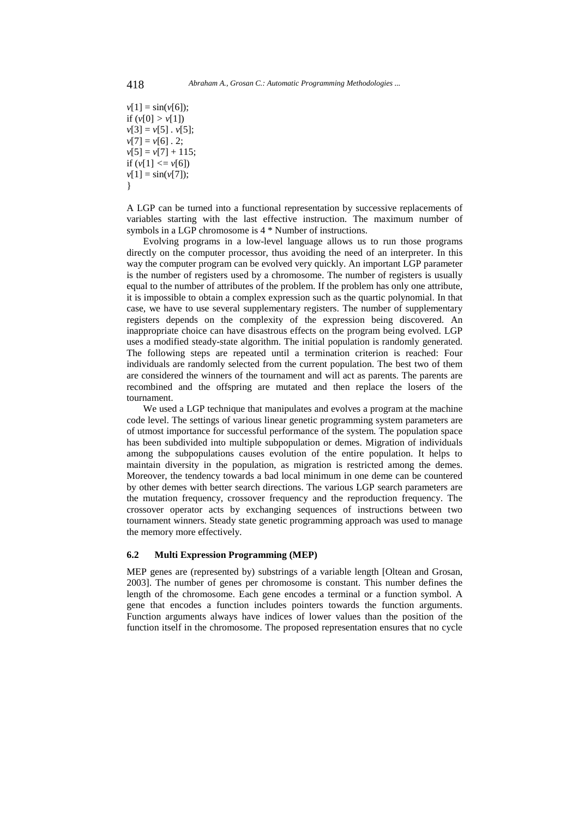$v[1] = \sin(v[6]);$ if  $(v[0] > v[1])$  $v[3] = v[5] \cdot v[5]$ ;  $v[7] = v[6]$ . 2;  $v[5] = v[7] + 115;$ if  $(v[1] \le v[6])$  $v[1] = \sin(v[7]);$ }

A LGP can be turned into a functional representation by successive replacements of variables starting with the last effective instruction. The maximum number of symbols in a LGP chromosome is 4 \* Number of instructions.

Evolving programs in a low-level language allows us to run those programs directly on the computer processor, thus avoiding the need of an interpreter. In this way the computer program can be evolved very quickly. An important LGP parameter is the number of registers used by a chromosome. The number of registers is usually equal to the number of attributes of the problem. If the problem has only one attribute, it is impossible to obtain a complex expression such as the quartic polynomial. In that case, we have to use several supplementary registers. The number of supplementary registers depends on the complexity of the expression being discovered. An inappropriate choice can have disastrous effects on the program being evolved. LGP uses a modified steady-state algorithm. The initial population is randomly generated. The following steps are repeated until a termination criterion is reached: Four individuals are randomly selected from the current population. The best two of them are considered the winners of the tournament and will act as parents. The parents are recombined and the offspring are mutated and then replace the losers of the tournament.

We used a LGP technique that manipulates and evolves a program at the machine code level. The settings of various linear genetic programming system parameters are of utmost importance for successful performance of the system. The population space has been subdivided into multiple subpopulation or demes. Migration of individuals among the subpopulations causes evolution of the entire population. It helps to maintain diversity in the population, as migration is restricted among the demes. Moreover, the tendency towards a bad local minimum in one deme can be countered by other demes with better search directions. The various LGP search parameters are the mutation frequency, crossover frequency and the reproduction frequency. The crossover operator acts by exchanging sequences of instructions between two tournament winners. Steady state genetic programming approach was used to manage the memory more effectively.

### **6.2 Multi Expression Programming (MEP)**

MEP genes are (represented by) substrings of a variable length [Oltean and Grosan, 2003]. The number of genes per chromosome is constant. This number defines the length of the chromosome. Each gene encodes a terminal or a function symbol. A gene that encodes a function includes pointers towards the function arguments. Function arguments always have indices of lower values than the position of the function itself in the chromosome. The proposed representation ensures that no cycle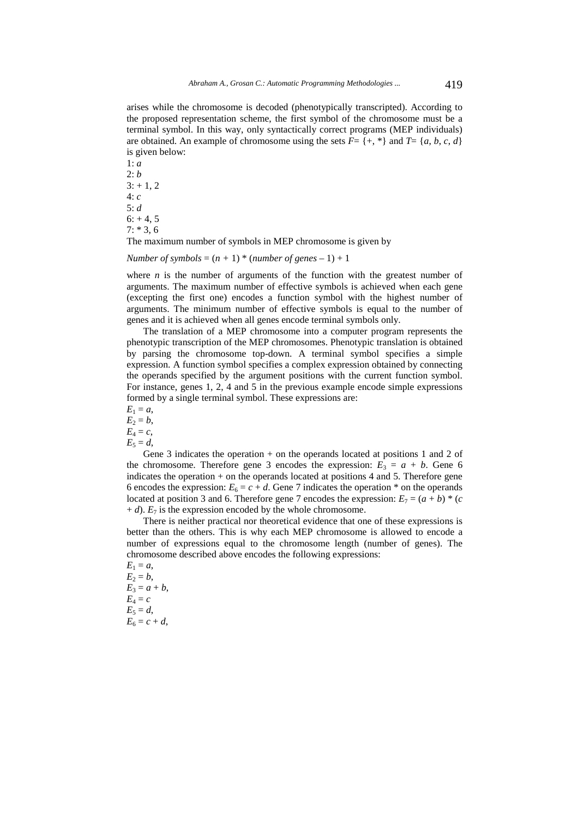arises while the chromosome is decoded (phenotypically transcripted). According to the proposed representation scheme, the first symbol of the chromosome must be a terminal symbol. In this way, only syntactically correct programs (MEP individuals) are obtained. An example of chromosome using the sets  $F = \{+, * \}$  and  $T = \{a, b, c, d\}$ is given below:

1: *a* 2: *b*  $3: +1, 2$ 4: *c* 5: *d*  $6: +4, 5$  $7: * 3.6$ The maximum number of symbols in MEP chromosome is given by

*Number of symbols* =  $(n + 1)$  \* (*number of genes* – 1) + 1

where *n* is the number of arguments of the function with the greatest number of arguments. The maximum number of effective symbols is achieved when each gene (excepting the first one) encodes a function symbol with the highest number of arguments. The minimum number of effective symbols is equal to the number of genes and it is achieved when all genes encode terminal symbols only.

The translation of a MEP chromosome into a computer program represents the phenotypic transcription of the MEP chromosomes. Phenotypic translation is obtained by parsing the chromosome top-down. A terminal symbol specifies a simple expression. A function symbol specifies a complex expression obtained by connecting the operands specified by the argument positions with the current function symbol. For instance, genes 1, 2, 4 and 5 in the previous example encode simple expressions formed by a single terminal symbol. These expressions are:

 $E_1 = a$ ,  $E_2 = b$ ,

 $E_4 = c$ ,

Gene 3 indicates the operation + on the operands located at positions 1 and 2 of the chromosome. Therefore gene 3 encodes the expression:  $E_3 = a + b$ . Gene 6 indicates the operation + on the operands located at positions 4 and 5. Therefore gene 6 encodes the expression:  $E_6 = c + d$ . Gene 7 indicates the operation  $*$  on the operands located at position 3 and 6. Therefore gene 7 encodes the expression:  $E_7 = (a + b) * (c$  $+ d$ ).  $E_7$  is the expression encoded by the whole chromosome.

There is neither practical nor theoretical evidence that one of these expressions is better than the others. This is why each MEP chromosome is allowed to encode a number of expressions equal to the chromosome length (number of genes). The chromosome described above encodes the following expressions:

 $E_1 = a$ ,  $E_2 = b$ ,  $E_3 = a + b$ ,  $E_4 = c$  $E_5 = d$ ,  $E_6 = c + d$ ,

 $E_5 = d$ ,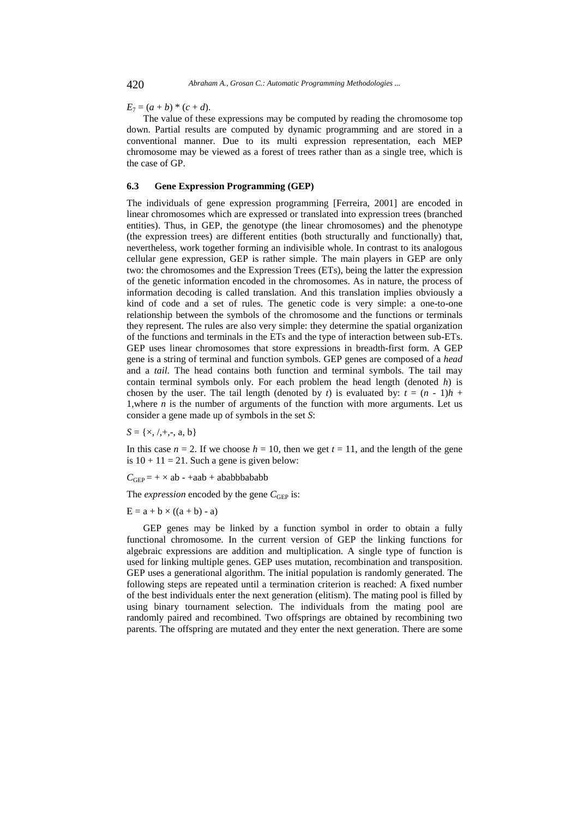$E_7 = (a + b) * (c + d).$ 

The value of these expressions may be computed by reading the chromosome top down. Partial results are computed by dynamic programming and are stored in a conventional manner. Due to its multi expression representation, each MEP chromosome may be viewed as a forest of trees rather than as a single tree, which is the case of GP.

### **6.3 Gene Expression Programming (GEP)**

The individuals of gene expression programming [Ferreira, 2001] are encoded in linear chromosomes which are expressed or translated into expression trees (branched entities). Thus, in GEP, the genotype (the linear chromosomes) and the phenotype (the expression trees) are different entities (both structurally and functionally) that, nevertheless, work together forming an indivisible whole. In contrast to its analogous cellular gene expression, GEP is rather simple. The main players in GEP are only two: the chromosomes and the Expression Trees (ETs), being the latter the expression of the genetic information encoded in the chromosomes. As in nature, the process of information decoding is called translation. And this translation implies obviously a kind of code and a set of rules. The genetic code is very simple: a one-to-one relationship between the symbols of the chromosome and the functions or terminals they represent. The rules are also very simple: they determine the spatial organization of the functions and terminals in the ETs and the type of interaction between sub-ETs. GEP uses linear chromosomes that store expressions in breadth-first form. A GEP gene is a string of terminal and function symbols. GEP genes are composed of a *head*  and a *tail*. The head contains both function and terminal symbols. The tail may contain terminal symbols only. For each problem the head length (denoted *h*) is chosen by the user. The tail length (denoted by *t*) is evaluated by:  $t = (n - 1)h +$ 1, where  $n$  is the number of arguments of the function with more arguments. Let us consider a gene made up of symbols in the set *S*:

 $S = \{ \times, /, +, -, a, b \}$ 

In this case  $n = 2$ . If we choose  $h = 10$ , then we get  $t = 11$ , and the length of the gene is  $10 + 11 = 21$ . Such a gene is given below:

 $C_{GEP}$  = +  $\times$  ab - +aab + ababbbababb

The *expression* encoded by the gene  $C_{\text{GEP}}$  is:

 $E = a + b \times ((a + b) - a)$ 

GEP genes may be linked by a function symbol in order to obtain a fully functional chromosome. In the current version of GEP the linking functions for algebraic expressions are addition and multiplication. A single type of function is used for linking multiple genes. GEP uses mutation, recombination and transposition. GEP uses a generational algorithm. The initial population is randomly generated. The following steps are repeated until a termination criterion is reached: A fixed number of the best individuals enter the next generation (elitism). The mating pool is filled by using binary tournament selection. The individuals from the mating pool are randomly paired and recombined. Two offsprings are obtained by recombining two parents. The offspring are mutated and they enter the next generation. There are some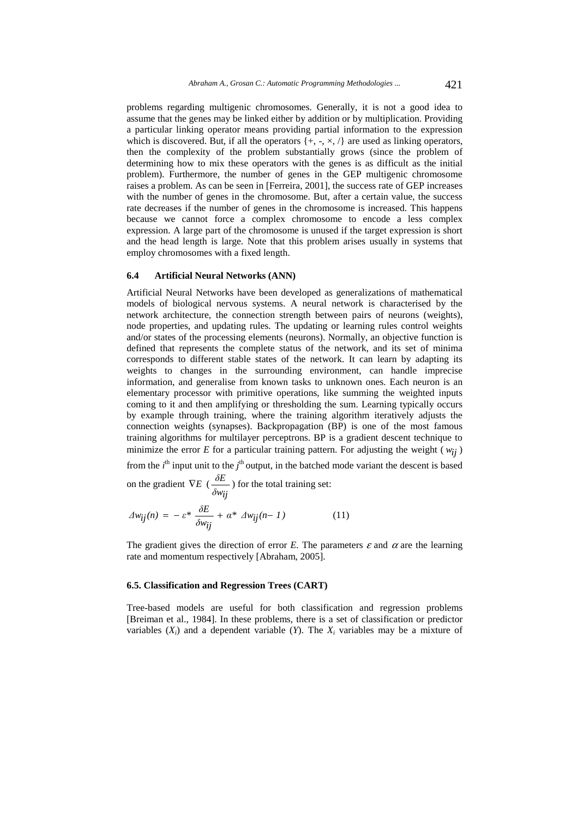problems regarding multigenic chromosomes. Generally, it is not a good idea to assume that the genes may be linked either by addition or by multiplication. Providing a particular linking operator means providing partial information to the expression which is discovered. But, if all the operators  $\{+, -, \times, / \}$  are used as linking operators, then the complexity of the problem substantially grows (since the problem of determining how to mix these operators with the genes is as difficult as the initial problem). Furthermore, the number of genes in the GEP multigenic chromosome raises a problem. As can be seen in [Ferreira, 2001], the success rate of GEP increases with the number of genes in the chromosome. But, after a certain value, the success rate decreases if the number of genes in the chromosome is increased. This happens because we cannot force a complex chromosome to encode a less complex expression. A large part of the chromosome is unused if the target expression is short and the head length is large. Note that this problem arises usually in systems that employ chromosomes with a fixed length.

#### **6.4 Artificial Neural Networks (ANN)**

Artificial Neural Networks have been developed as generalizations of mathematical models of biological nervous systems. A neural network is characterised by the network architecture, the connection strength between pairs of neurons (weights), node properties, and updating rules. The updating or learning rules control weights and/or states of the processing elements (neurons). Normally, an objective function is defined that represents the complete status of the network, and its set of minima corresponds to different stable states of the network. It can learn by adapting its weights to changes in the surrounding environment, can handle imprecise information, and generalise from known tasks to unknown ones. Each neuron is an elementary processor with primitive operations, like summing the weighted inputs coming to it and then amplifying or thresholding the sum. Learning typically occurs by example through training, where the training algorithm iteratively adjusts the connection weights (synapses). Backpropagation (BP) is one of the most famous training algorithms for multilayer perceptrons. BP is a gradient descent technique to minimize the error  $E$  for a particular training pattern. For adjusting the weight ( $w_{ij}$ ) from the  $i<sup>th</sup>$  input unit to the  $j<sup>th</sup>$  output, in the batched mode variant the descent is based on the gradient  $\nabla E$  ( $\frac{\partial E}{\partial w_{ij}}$  $\frac{\delta E}{\delta}$ ) for the total training set:

$$
\Delta w_{ij}(n) = -\varepsilon^* \frac{\delta E}{\delta w_{ij}} + \alpha^* \Delta w_{ij}(n-1)
$$
 (11)

The gradient gives the direction of error *E*. The parameters  $\varepsilon$  and  $\alpha$  are the learning rate and momentum respectively [Abraham, 2005].

#### **6.5. Classification and Regression Trees (CART)**

Tree-based models are useful for both classification and regression problems [Breiman et al., 1984]. In these problems, there is a set of classification or predictor variables  $(X_i)$  and a dependent variable  $(Y)$ . The  $X_i$  variables may be a mixture of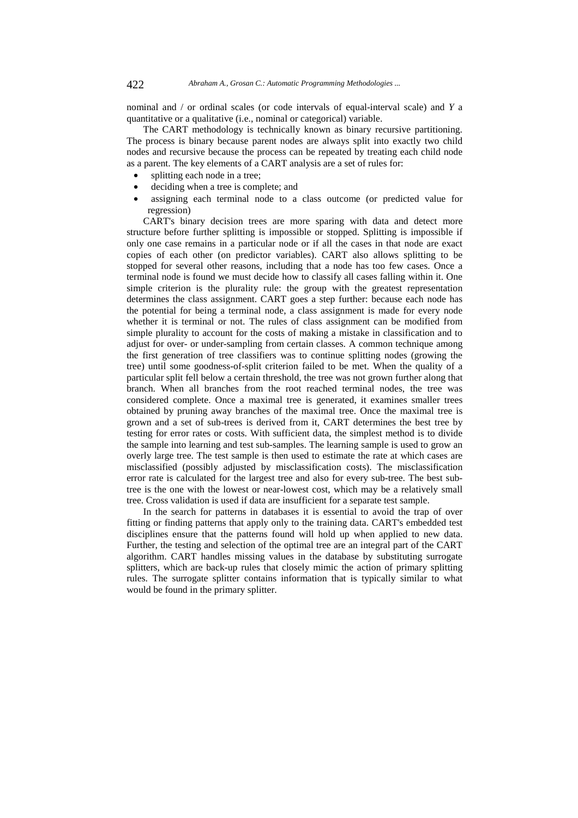nominal and / or ordinal scales (or code intervals of equal-interval scale) and *Y* a quantitative or a qualitative (i.e., nominal or categorical) variable.

The CART methodology is technically known as binary recursive partitioning. The process is binary because parent nodes are always split into exactly two child nodes and recursive because the process can be repeated by treating each child node as a parent. The key elements of a CART analysis are a set of rules for:

- splitting each node in a tree;
- deciding when a tree is complete; and
- assigning each terminal node to a class outcome (or predicted value for regression)

CART's binary decision trees are more sparing with data and detect more structure before further splitting is impossible or stopped. Splitting is impossible if only one case remains in a particular node or if all the cases in that node are exact copies of each other (on predictor variables). CART also allows splitting to be stopped for several other reasons, including that a node has too few cases. Once a terminal node is found we must decide how to classify all cases falling within it. One simple criterion is the plurality rule: the group with the greatest representation determines the class assignment. CART goes a step further: because each node has the potential for being a terminal node, a class assignment is made for every node whether it is terminal or not. The rules of class assignment can be modified from simple plurality to account for the costs of making a mistake in classification and to adjust for over- or under-sampling from certain classes. A common technique among the first generation of tree classifiers was to continue splitting nodes (growing the tree) until some goodness-of-split criterion failed to be met. When the quality of a particular split fell below a certain threshold, the tree was not grown further along that branch. When all branches from the root reached terminal nodes, the tree was considered complete. Once a maximal tree is generated, it examines smaller trees obtained by pruning away branches of the maximal tree. Once the maximal tree is grown and a set of sub-trees is derived from it, CART determines the best tree by testing for error rates or costs. With sufficient data, the simplest method is to divide the sample into learning and test sub-samples. The learning sample is used to grow an overly large tree. The test sample is then used to estimate the rate at which cases are misclassified (possibly adjusted by misclassification costs). The misclassification error rate is calculated for the largest tree and also for every sub-tree. The best subtree is the one with the lowest or near-lowest cost, which may be a relatively small tree. Cross validation is used if data are insufficient for a separate test sample.

In the search for patterns in databases it is essential to avoid the trap of over fitting or finding patterns that apply only to the training data. CART's embedded test disciplines ensure that the patterns found will hold up when applied to new data. Further, the testing and selection of the optimal tree are an integral part of the CART algorithm. CART handles missing values in the database by substituting surrogate splitters, which are back-up rules that closely mimic the action of primary splitting rules. The surrogate splitter contains information that is typically similar to what would be found in the primary splitter.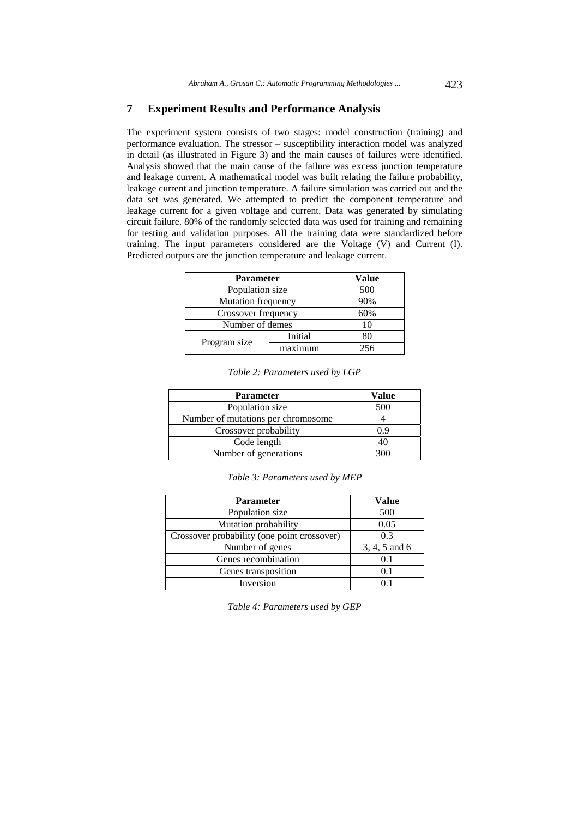# **7 Experiment Results and Performance Analysis**

The experiment system consists of two stages: model construction (training) and performance evaluation. The stressor – susceptibility interaction model was analyzed in detail (as illustrated in Figure 3) and the main causes of failures were identified. Analysis showed that the main cause of the failure was excess junction temperature and leakage current. A mathematical model was built relating the failure probability, leakage current and junction temperature. A failure simulation was carried out and the data set was generated. We attempted to predict the component temperature and leakage current for a given voltage and current. Data was generated by simulating circuit failure. 80% of the randomly selected data was used for training and remaining for testing and validation purposes. All the training data were standardized before training. The input parameters considered are the Voltage (V) and Current (I). Predicted outputs are the junction temperature and leakage current.

| <b>Parameter</b>    | Value   |     |
|---------------------|---------|-----|
| Population size     | 500     |     |
| Mutation frequency  | 90%     |     |
| Crossover frequency | 60%     |     |
| Number of demes     | 10      |     |
| Program size        | Initial | 80  |
|                     | maximum | 256 |

| <b>Parameter</b>                   | Value |  |  |
|------------------------------------|-------|--|--|
| Population size                    | 500   |  |  |
| Number of mutations per chromosome |       |  |  |
| Crossover probability              | () 9  |  |  |
| Code length                        |       |  |  |
| Number of generations              |       |  |  |

#### *Table 2: Parameters used by LGP*

*Table 3: Parameters used by MEP* 

| <b>Parameter</b>                            | Value         |  |
|---------------------------------------------|---------------|--|
| Population size                             | 500           |  |
| Mutation probability                        | 0.05          |  |
| Crossover probability (one point crossover) | 0.3           |  |
| Number of genes                             | 3, 4, 5 and 6 |  |
| Genes recombination                         | 0.1           |  |
| Genes transposition                         | 0.1           |  |
| Inversion                                   |               |  |

*Table 4: Parameters used by GEP*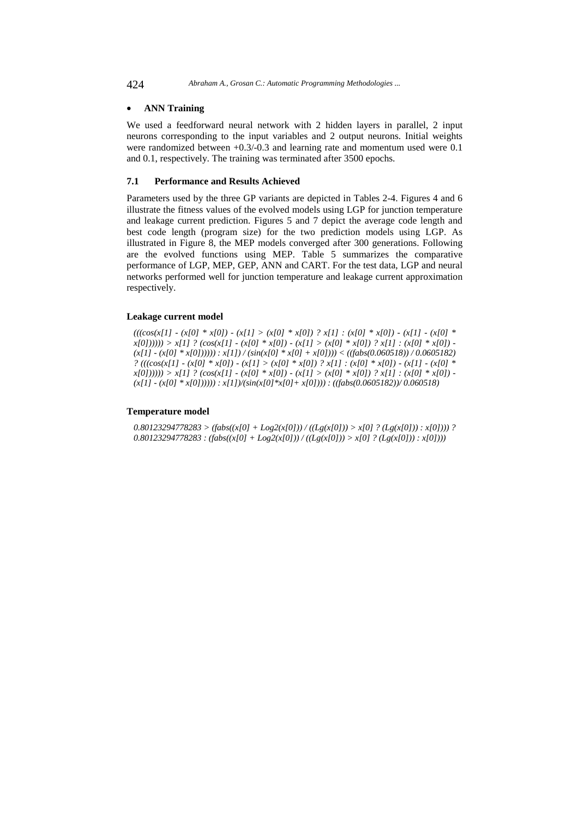424 *Abraham A., Grosan C.: Automatic Programming Methodologies ...*

#### • **ANN Training**

We used a feedforward neural network with 2 hidden layers in parallel, 2 input neurons corresponding to the input variables and 2 output neurons. Initial weights were randomized between +0.3/-0.3 and learning rate and momentum used were 0.1 and 0.1, respectively. The training was terminated after 3500 epochs.

#### **7.1 Performance and Results Achieved**

Parameters used by the three GP variants are depicted in Tables 2-4. Figures 4 and 6 illustrate the fitness values of the evolved models using LGP for junction temperature and leakage current prediction. Figures 5 and 7 depict the average code length and best code length (program size) for the two prediction models using LGP. As illustrated in Figure 8, the MEP models converged after 300 generations. Following are the evolved functions using MEP. Table 5 summarizes the comparative performance of LGP, MEP, GEP, ANN and CART. For the test data, LGP and neural networks performed well for junction temperature and leakage current approximation respectively.

### **Leakage current model**

*(((cos(x[1] - (x[0] \* x[0]) - (x[1] > (x[0] \* x[0]) ? x[1] : (x[0] \* x[0]) - (x[1] - (x[0] \**   $x[0]$ ))))) >  $x[1]$  ? (cos(x[1] - (x[0] \* x[0]) - (x[1] > (x[0] \* x[0]) ? x[1] : (x[0] \* x[0]) -*(x[1] - (x[0] \* x[0]))))) : x[1]) / (sin(x[0] \* x[0] + x[0]))) < ((fabs(0.060518)) / 0.0605182) ? (((cos(x[1] - (x[0] \* x[0]) - (x[1] > (x[0] \* x[0]) ? x[1] : (x[0] \* x[0]) - (x[1] - (x[0] \**   $x[0]$ ))))) >  $x[1]$  ? ( $cos(x[1] - (x[0] * x[0]) - (x[1] > (x[0] * x[0])$  ?  $x[1] : (x[0] * x[0]) - (x[0] * x[0])$ *(x[1] - (x[0] \* x[0]))))) : x[1])/(sin(x[0]\*x[0]+ x[0]))) : ((fabs(0.0605182))/ 0.060518)* 

#### **Temperature model**

 $0.80123294778283 > (fabs((x[0] + Log2(x[0])) / ((Lg(x[0])) > x[0] ? (Lg(x[0])) : x[0])) ?$  $0.80123294778283$  :  $(fabs((x[0] + Log2(x[0])) / ((Lg(x[0])) > x[0] ? (Lg(x[0])) : x[0]))$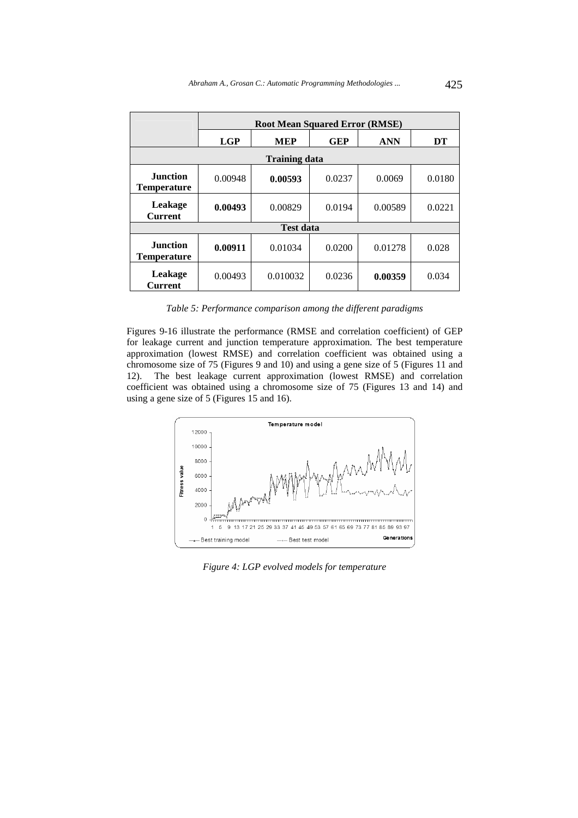|                                       | <b>Root Mean Squared Error (RMSE)</b> |            |            |            |        |  |  |
|---------------------------------------|---------------------------------------|------------|------------|------------|--------|--|--|
|                                       | LGP                                   | <b>MEP</b> | <b>GEP</b> | <b>ANN</b> | DT     |  |  |
| <b>Training data</b>                  |                                       |            |            |            |        |  |  |
| <b>Junction</b><br><b>Temperature</b> | 0.00948                               | 0.00593    | 0.0237     | 0.0069     | 0.0180 |  |  |
| Leakage<br><b>Current</b>             | 0.00493                               | 0.00829    | 0.0194     | 0.00589    | 0.0221 |  |  |
| <b>Test data</b>                      |                                       |            |            |            |        |  |  |
| <b>Junction</b><br><b>Temperature</b> | 0.00911                               | 0.01034    | 0.0200     | 0.01278    | 0.028  |  |  |
| Leakage<br><b>Current</b>             | 0.00493                               | 0.010032   | 0.0236     | 0.00359    | 0.034  |  |  |

*Table 5: Performance comparison among the different paradigms* 

Figures 9-16 illustrate the performance (RMSE and correlation coefficient) of GEP for leakage current and junction temperature approximation. The best temperature approximation (lowest RMSE) and correlation coefficient was obtained using a chromosome size of 75 (Figures 9 and 10) and using a gene size of 5 (Figures 11 and 12). The best leakage current approximation (lowest RMSE) and correlation coefficient was obtained using a chromosome size of 75 (Figures 13 and 14) and using a gene size of 5 (Figures 15 and 16).



*Figure 4: LGP evolved models for temperature*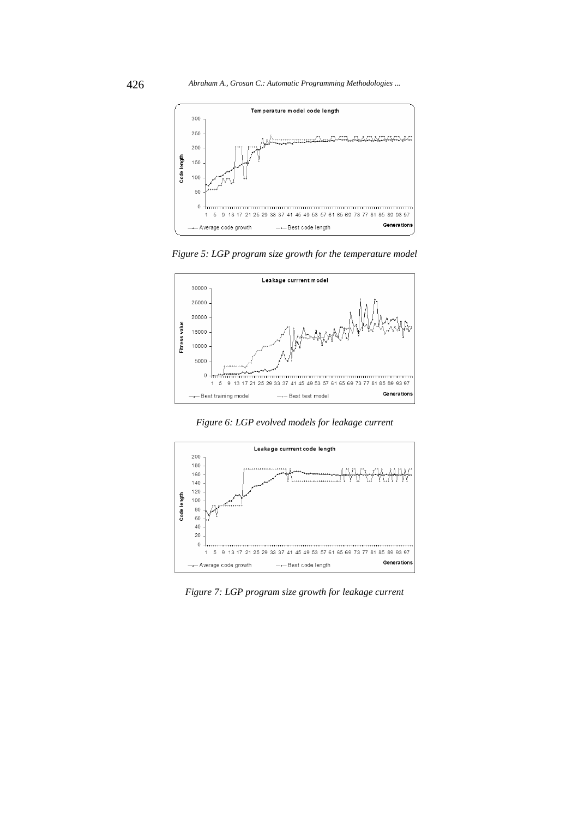

*Figure 5: LGP program size growth for the temperature model* 



*Figure 6: LGP evolved models for leakage current* 



*Figure 7: LGP program size growth for leakage current*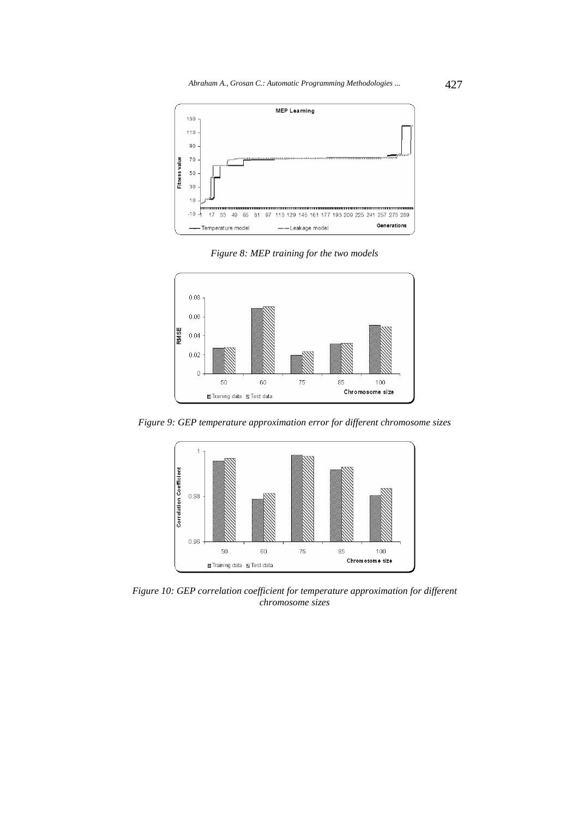

*Figure 8: MEP training for the two models* 



*Figure 9: GEP temperature approximation error for different chromosome sizes* 



*Figure 10: GEP correlation coefficient for temperature approximation for different chromosome sizes*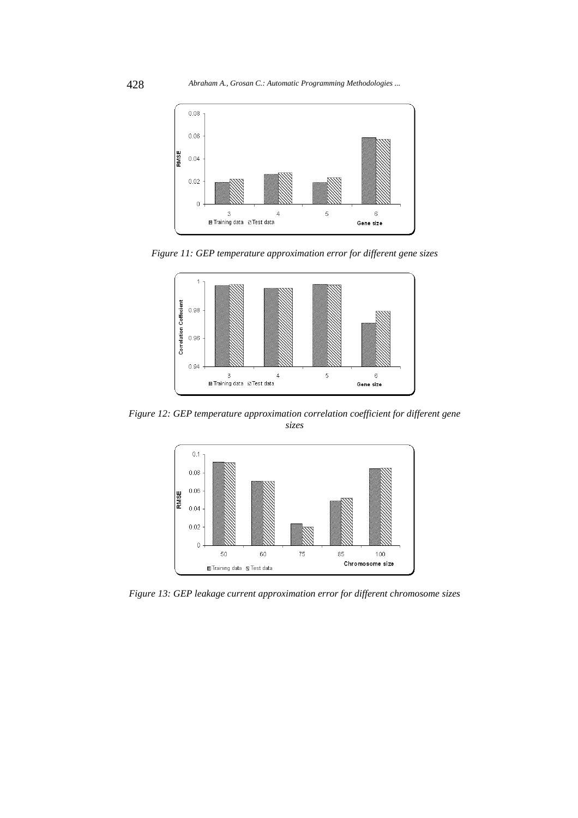

*Figure 11: GEP temperature approximation error for different gene sizes* 



*Figure 12: GEP temperature approximation correlation coefficient for different gene sizes*



*Figure 13: GEP leakage current approximation error for different chromosome sizes*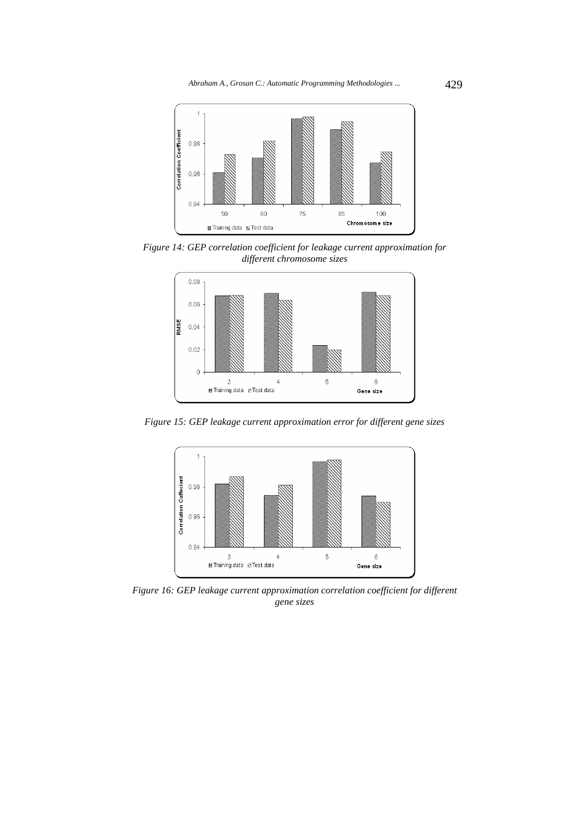

*Figure 14: GEP correlation coefficient for leakage current approximation for different chromosome sizes* 



*Figure 15: GEP leakage current approximation error for different gene sizes* 



*Figure 16: GEP leakage current approximation correlation coefficient for different gene sizes*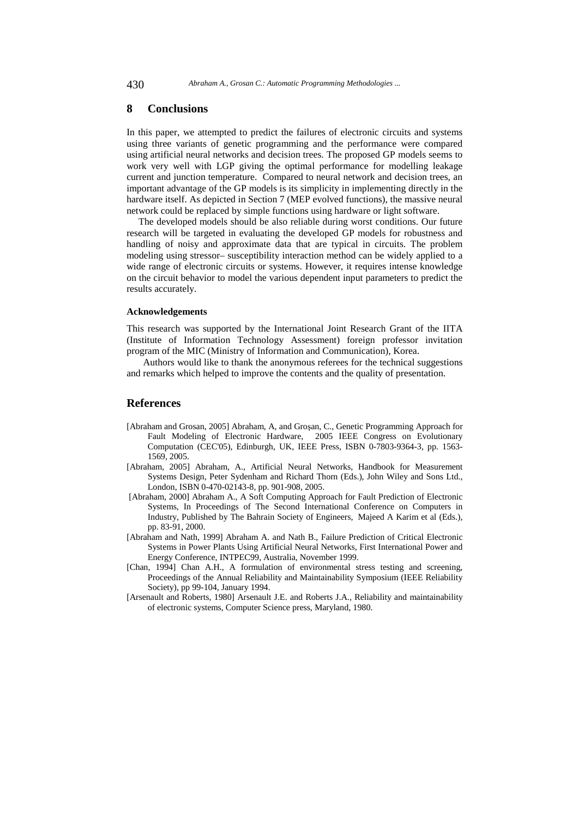### **8 Conclusions**

In this paper, we attempted to predict the failures of electronic circuits and systems using three variants of genetic programming and the performance were compared using artificial neural networks and decision trees. The proposed GP models seems to work very well with LGP giving the optimal performance for modelling leakage current and junction temperature. Compared to neural network and decision trees, an important advantage of the GP models is its simplicity in implementing directly in the hardware itself. As depicted in Section 7 (MEP evolved functions), the massive neural network could be replaced by simple functions using hardware or light software.

The developed models should be also reliable during worst conditions. Our future research will be targeted in evaluating the developed GP models for robustness and handling of noisy and approximate data that are typical in circuits. The problem modeling using stressor– susceptibility interaction method can be widely applied to a wide range of electronic circuits or systems. However, it requires intense knowledge on the circuit behavior to model the various dependent input parameters to predict the results accurately.

#### **Acknowledgements**

This research was supported by the International Joint Research Grant of the IITA (Institute of Information Technology Assessment) foreign professor invitation program of the MIC (Ministry of Information and Communication), Korea.

Authors would like to thank the anonymous referees for the technical suggestions and remarks which helped to improve the contents and the quality of presentation.

### **References**

- [Abraham and Grosan, 2005] Abraham, A, and Groşan, C., Genetic Programming Approach for Fault Modeling of Electronic Hardware, 2005 IEEE Congress on Evolutionary Computation (CEC'05), Edinburgh, UK, IEEE Press, ISBN 0-7803-9364-3, pp. 1563- 1569, 2005.
- [Abraham, 2005] Abraham, A., Artificial Neural Networks, Handbook for Measurement Systems Design, Peter Sydenham and Richard Thorn (Eds.), John Wiley and Sons Ltd., London, ISBN 0-470-02143-8, pp. 901-908, 2005.
- [Abraham, 2000] Abraham A., A Soft Computing Approach for Fault Prediction of Electronic Systems, In Proceedings of The Second International Conference on Computers in Industry, Published by The Bahrain Society of Engineers, Majeed A Karim et al (Eds.), pp. 83-91, 2000.
- [Abraham and Nath, 1999] Abraham A. and Nath B., Failure Prediction of Critical Electronic Systems in Power Plants Using Artificial Neural Networks, First International Power and Energy Conference, INTPEC99, Australia, November 1999.
- [Chan, 1994] Chan A.H., A formulation of environmental stress testing and screening, Proceedings of the Annual Reliability and Maintainability Symposium (IEEE Reliability Society), pp 99-104, January 1994.
- [Arsenault and Roberts, 1980] Arsenault J.E. and Roberts J.A., Reliability and maintainability of electronic systems, Computer Science press, Maryland, 1980.